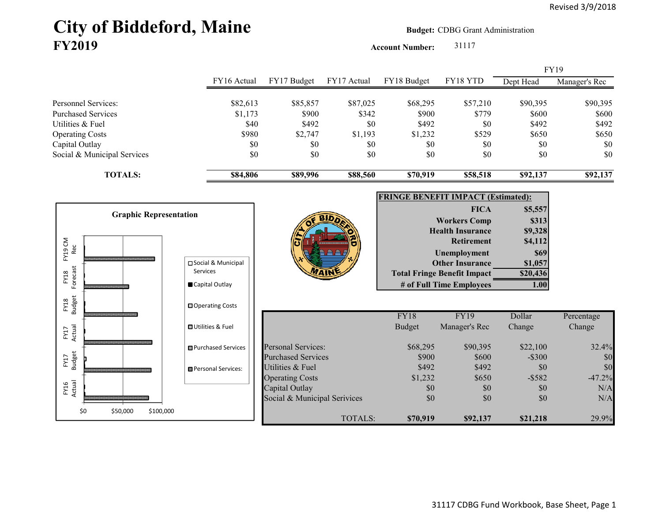# City of Biddeford, Maine **Budget:** CDBG Grant Administration **FY2019**

**Account Number:** 31117

|                           |                               |                              |                              |             |               |                                           |           | <b>FY19</b>   |
|---------------------------|-------------------------------|------------------------------|------------------------------|-------------|---------------|-------------------------------------------|-----------|---------------|
|                           |                               | FY16 Actual                  | FY17 Budget                  | FY17 Actual | FY18 Budget   | FY18 YTD                                  | Dept Head | Manager's Rec |
| Personnel Services:       |                               | \$82,613                     | \$85,857                     | \$87,025    | \$68,295      | \$57,210                                  | \$90,395  | \$90,395      |
| <b>Purchased Services</b> |                               | \$1,173                      | \$900                        | \$342       | \$900         | \$779                                     | \$600     | \$600         |
| Utilities & Fuel          |                               | \$40                         | \$492                        | \$0         | \$492         | \$0                                       | \$492     | \$492         |
| <b>Operating Costs</b>    |                               | \$980                        | \$2,747                      | \$1,193     | \$1,232       | \$529                                     | \$650     | \$650         |
| Capital Outlay            |                               | \$0                          | \$0                          | \$0         | \$0           | \$0                                       | \$0       | \$0           |
|                           | Social & Municipal Services   | \$0                          | \$0                          | \$0         | \$0           | \$0                                       | \$0       | \$0           |
|                           | <b>TOTALS:</b>                | \$84,806                     | \$89,996                     | \$88,560    | \$70,919      | \$58,518                                  | \$92,137  | \$92,137      |
|                           |                               |                              |                              |             |               | <b>FRINGE BENEFIT IMPACT (Estimated):</b> |           |               |
|                           |                               |                              |                              |             |               | <b>FICA</b>                               | \$5,557   |               |
|                           | <b>Graphic Representation</b> |                              |                              |             |               | <b>Workers Comp</b>                       | \$313     |               |
|                           |                               |                              |                              |             |               | <b>Health Insurance</b>                   | \$9,328   |               |
|                           |                               |                              |                              |             |               | <b>Retirement</b>                         | \$4,112   |               |
| FY19 CM<br>Rec            |                               |                              |                              |             |               | Unemployment                              | \$69      |               |
|                           |                               | □ Social & Municipal         |                              |             |               | <b>Other Insurance</b>                    | \$1,057   |               |
|                           |                               | <b>Services</b>              |                              |             |               | <b>Total Fringe Benefit Impact</b>        | \$20,436  |               |
| Forecast<br>FY18          |                               | Capital Outlay               |                              |             |               | # of Full Time Employees                  | 1.00      |               |
| <b>Budget</b><br>FY18     |                               | □ Operating Costs            |                              |             |               |                                           |           |               |
|                           |                               |                              |                              |             | FY18          | <b>FY19</b>                               | Dollar    | Percentage    |
| FY17<br>Actual            |                               | <b>OUtilities &amp; Fuel</b> |                              |             | <b>Budget</b> | Manager's Rec                             | Change    | Change        |
|                           |                               | <b>□</b> Purchased Services  | <b>Personal Services:</b>    |             | \$68,295      | \$90,395                                  | \$22,100  | 32.4%         |
| <b>Budget</b><br>FY17     |                               |                              | <b>Purchased Services</b>    |             | \$900         | \$600                                     | $-$ \$300 | \$0           |
|                           |                               | Personal Services:           | Utilities & Fuel             |             | \$492         | \$492                                     | \$0       | \$0           |
|                           |                               |                              | <b>Operating Costs</b>       |             | \$1,232       | \$650                                     | $-$ \$582 | $-47.2%$      |
| FY16<br>Actual            |                               |                              | Capital Outlay               |             | \$0           | \$0                                       | \$0       | N/A           |
|                           |                               |                              | Social & Municipal Serivices |             | \$0           | \$0                                       | \$0       | N/A           |
| \$0                       | \$50,000<br>\$100,000         |                              |                              | TOTALS:     | \$70,919      | \$92,137                                  | \$21,218  | 29.9%         |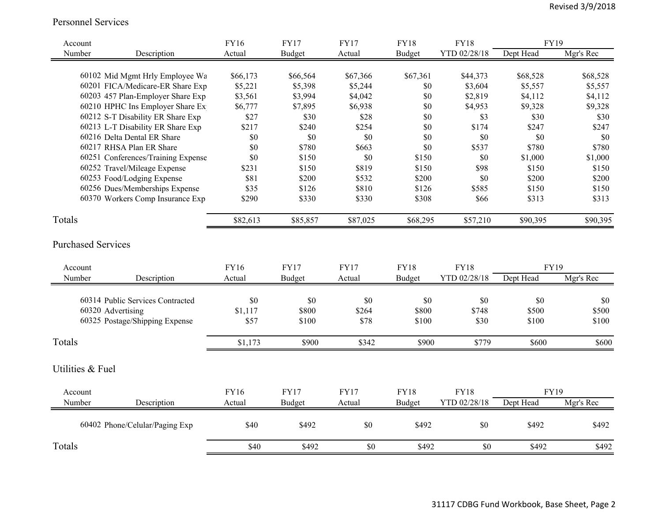Personnel Services

| Account          |                                    | <b>FY16</b> | <b>FY17</b>   | <b>FY17</b> | <b>FY18</b>   | <b>FY18</b>  | <b>FY19</b> |           |
|------------------|------------------------------------|-------------|---------------|-------------|---------------|--------------|-------------|-----------|
| Number           | Description                        | Actual      | <b>Budget</b> | Actual      | <b>Budget</b> | YTD 02/28/18 | Dept Head   | Mgr's Rec |
|                  |                                    |             |               |             |               |              |             |           |
|                  | 60102 Mid Mgmt Hrly Employee Wa    | \$66,173    | \$66,564      | \$67,366    | \$67,361      | \$44,373     | \$68,528    | \$68,528  |
|                  | 60201 FICA/Medicare-ER Share Exp   | \$5,221     | \$5,398       | \$5,244     | \$0           | \$3,604      | \$5,557     | \$5,557   |
|                  | 60203 457 Plan-Employer Share Exp  | \$3,561     | \$3,994       | \$4,042     | \$0           | \$2,819      | \$4,112     | \$4,112   |
|                  | 60210 HPHC Ins Employer Share Ex   | \$6,777     | \$7,895       | \$6,938     | \$0           | \$4,953      | \$9,328     | \$9,328   |
|                  | 60212 S-T Disability ER Share Exp  | \$27        | \$30          | \$28        | \$0           | \$3          | \$30        | \$30      |
|                  | 60213 L-T Disability ER Share Exp  | \$217       | \$240         | \$254       | \$0           | \$174        | \$247       | \$247     |
|                  | 60216 Delta Dental ER Share        | \$0         | \$0           | \$0         | \$0           | \$0          | \$0         | \$0       |
|                  | 60217 RHSA Plan ER Share           | \$0         | \$780         | \$663       | \$0           | \$537        | \$780       | \$780     |
|                  | 60251 Conferences/Training Expense | \$0         | \$150         | \$0         | \$150         | \$0          | \$1,000     | \$1,000   |
|                  | 60252 Travel/Mileage Expense       | \$231       | \$150         | \$819       | \$150         | \$98         | \$150       | \$150     |
|                  | 60253 Food/Lodging Expense         | \$81        | \$200         | \$532       | \$200         | \$0          | \$200       | \$200     |
|                  | 60256 Dues/Memberships Expense     | \$35        | \$126         | \$810       | \$126         | \$585        | \$150       | \$150     |
|                  | 60370 Workers Comp Insurance Exp   | \$290       | \$330         | \$330       | \$308         | \$66         | \$313       | \$313     |
| Totals           |                                    | \$82,613    | \$85,857      | \$87,025    | \$68,295      | \$57,210     | \$90,395    | \$90,395  |
|                  |                                    |             |               |             |               |              |             |           |
|                  | <b>Purchased Services</b>          |             |               |             |               |              |             |           |
| Account          |                                    | <b>FY16</b> | <b>FY17</b>   | <b>FY17</b> | <b>FY18</b>   | <b>FY18</b>  | <b>FY19</b> |           |
| Number           | Description                        | Actual      | <b>Budget</b> | Actual      | Budget        | YTD 02/28/18 | Dept Head   | Mgr's Rec |
|                  |                                    |             |               |             |               |              |             |           |
|                  | 60314 Public Services Contracted   | \$0         | \$0           | \$0         | \$0           | \$0          | \$0         | \$0       |
|                  | 60320 Advertising                  | \$1,117     | \$800         | \$264       | \$800         | \$748        | \$500       | \$500     |
|                  | 60325 Postage/Shipping Expense     | \$57        | \$100         | \$78        | \$100         | \$30         | \$100       | \$100     |
| Totals           |                                    | \$1,173     | \$900         | \$342       | \$900         | \$779        | \$600       | \$600     |
| Utilities & Fuel |                                    |             |               |             |               |              |             |           |
|                  |                                    |             |               |             |               |              |             |           |
| Account          |                                    | <b>FY16</b> | <b>FY17</b>   | <b>FY17</b> | <b>FY18</b>   | <b>FY18</b>  | <b>FY19</b> |           |
| Number           | Description                        | Actual      | <b>Budget</b> | Actual      | Budget        | YTD 02/28/18 | Dept Head   | Mgr's Rec |
|                  | 60402 Phone/Celular/Paging Exp     | \$40        | \$492         | \$0         | \$492         | \$0          | \$492       | \$492     |
| Totals           |                                    | \$40        | \$492         | \$0         | \$492         | \$0          | \$492       | \$492     |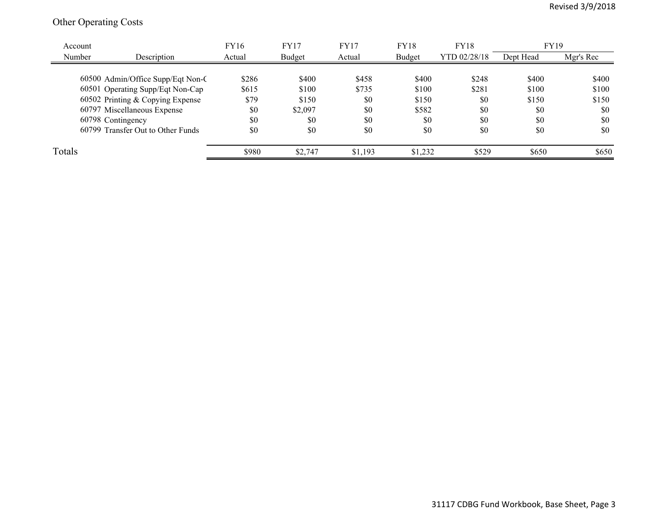## Other Operating Costs

| Account |                                   | <b>FY16</b> | <b>FY17</b> | <b>FY17</b> | <b>FY18</b> | <b>FY18</b>  | FY19      |           |
|---------|-----------------------------------|-------------|-------------|-------------|-------------|--------------|-----------|-----------|
| Number  | Description                       | Actual      | Budget      | Actual      | Budget      | YTD 02/28/18 | Dept Head | Mgr's Rec |
|         |                                   |             |             |             |             |              |           |           |
|         | 60500 Admin/Office Supp/Eqt Non-C | \$286       | \$400       | \$458       | \$400       | \$248        | \$400     | \$400     |
|         | 60501 Operating Supp/Eqt Non-Cap  | \$615       | \$100       | \$735       | \$100       | \$281        | \$100     | \$100     |
|         | 60502 Printing & Copying Expense  | \$79        | \$150       | \$0         | \$150       | \$0          | \$150     | \$150     |
|         | 60797 Miscellaneous Expense       | \$0         | \$2,097     | \$0         | \$582       | \$0          | \$0       | \$0       |
|         | 60798 Contingency                 | \$0         | \$0         | \$0         | \$0         | \$0          | \$0       | \$0       |
|         | 60799 Transfer Out to Other Funds | \$0         | \$0         | \$0         | \$0         | \$0          | \$0       | \$0       |
| Totals  |                                   | \$980       | \$2,747     | \$1,193     | \$1,232     | \$529        | \$650     | \$650     |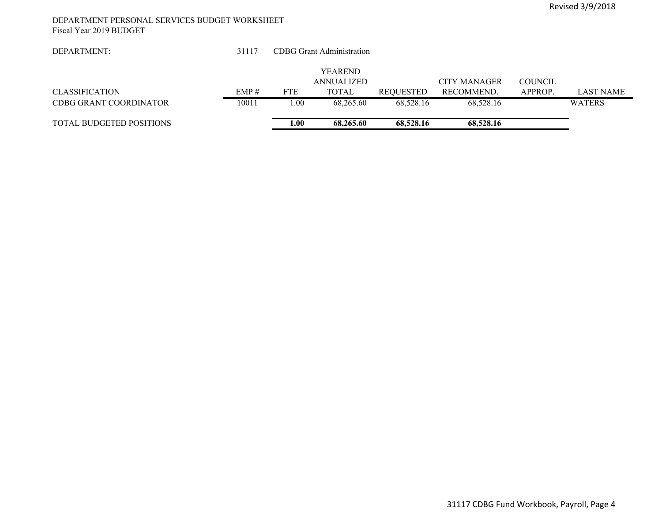#### DEPARTMENT PERSONAL SERVICES BUDGET WORKSHEET Fiscal Year 2019 BUDGET

| DEPARTMENT:                     | 31117 |            | <b>CDBG</b> Grant Administration |           |                     |                |                  |
|---------------------------------|-------|------------|----------------------------------|-----------|---------------------|----------------|------------------|
|                                 |       |            |                                  |           |                     |                |                  |
|                                 |       |            | <b>YEAREND</b>                   |           |                     |                |                  |
|                                 |       |            | <b>ANNUALIZED</b>                |           | <b>CITY MANAGER</b> | <b>COUNCIL</b> |                  |
| <b>CLASSIFICATION</b>           | EMP#  | <b>FTE</b> | TOTAL                            | REQUESTED | RECOMMEND.          | APPROP.        | <b>LAST NAME</b> |
| CDBG GRANT COORDINATOR          | 10011 | 1.00       | 68,265.60                        | 68.528.16 | 68.528.16           |                | <b>WATERS</b>    |
|                                 |       |            |                                  |           |                     |                |                  |
| <b>TOTAL BUDGETED POSITIONS</b> |       | 1.00       | 68,265.60                        | 68,528.16 | 68,528.16           |                |                  |
|                                 |       |            |                                  |           |                     |                |                  |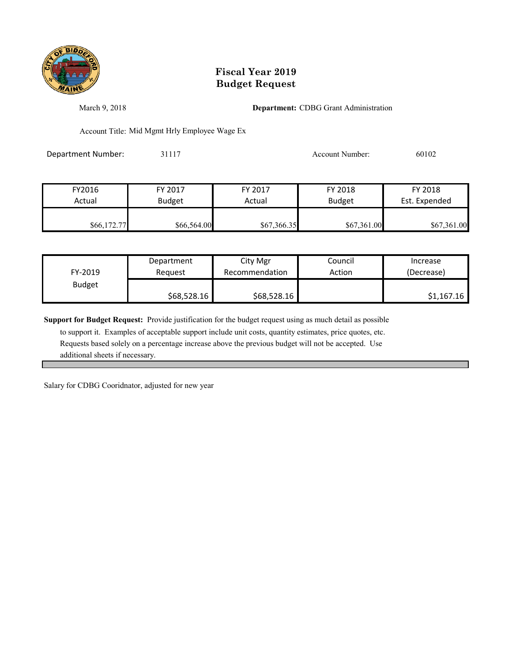

March 9, 2018 **Department:** CDBG Grant Administration

Account Title: Mid Mgmt Hrly Employee Wage Ex

Department Number: 31117 31117 Account Number: 60102

| FY2016      | FY 2017       | FY 2017     | FY 2018       | FY 2018       |
|-------------|---------------|-------------|---------------|---------------|
| Actual      | <b>Budget</b> | Actual      | <b>Budget</b> | Est. Expended |
|             |               |             |               |               |
| \$66,172.77 | \$66,564.00   | \$67,366.35 | \$67,361.00   | \$67,361.00   |

| FY-2019       | Department  | City Mgr       | Council | Increase   |
|---------------|-------------|----------------|---------|------------|
|               | Reauest     | Recommendation | Action  | (Decrease) |
| <b>Budget</b> | \$68,528.16 | \$68,528.16    |         | \$1,167.16 |

**Support for Budget Request:** Provide justification for the budget request using as much detail as possible

 to support it. Examples of acceptable support include unit costs, quantity estimates, price quotes, etc. Requests based solely on a percentage increase above the previous budget will not be accepted. Use additional sheets if necessary.

Salary for CDBG Cooridnator, adjusted for new year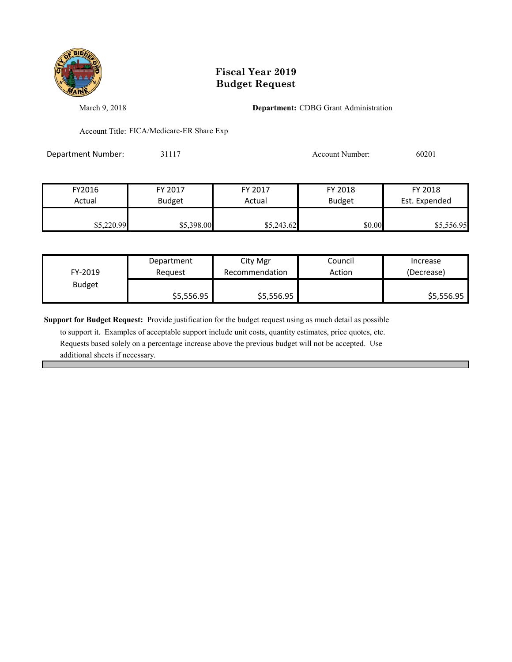

March 9, 2018 **Department:** CDBG Grant Administration

Account Title: FICA/Medicare-ER Share Exp

Department Number: 31117 31117 Account Number: 60201

| FY2016     | FY 2017       | FY 2017    | FY 2018       | FY 2018       |
|------------|---------------|------------|---------------|---------------|
| Actual     | <b>Budget</b> | Actual     | <b>Budget</b> | Est. Expended |
|            |               |            |               |               |
| \$5,220.99 | \$5,398.00    | \$5,243.62 | \$0.00        | \$5,556.95    |

| FY-2019       | Department | City Mgr       | Council | Increase   |
|---------------|------------|----------------|---------|------------|
|               | Reauest    | Recommendation | Action  | (Decrease) |
| <b>Budget</b> | \$5,556.95 | \$5,556.95     |         | \$5,556.95 |

**Support for Budget Request:** Provide justification for the budget request using as much detail as possible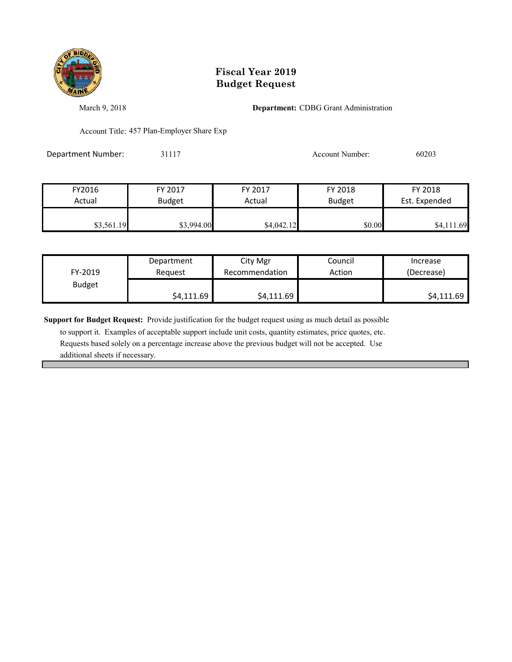

March 9, 2018 **Department:** CDBG Grant Administration

Account Title: 457 Plan-Employer Share Exp

Department Number: 31117 31117 Account Number: 60203

| FY2016     | FY 2017       | FY 2017    | FY 2018       | FY 2018       |
|------------|---------------|------------|---------------|---------------|
| Actual     | <b>Budget</b> | Actual     | <b>Budget</b> | Est. Expended |
|            |               |            |               |               |
| \$3,561.19 | \$3,994.00    | \$4,042.12 | \$0.00        | \$4,111.69    |

| FY-2019       | Department | City Mgr       | Council | Increase   |
|---------------|------------|----------------|---------|------------|
|               | Reauest    | Recommendation | Action  | (Decrease) |
| <b>Budget</b> | \$4,111.69 | \$4,111.69     |         | \$4,111.69 |

**Support for Budget Request:** Provide justification for the budget request using as much detail as possible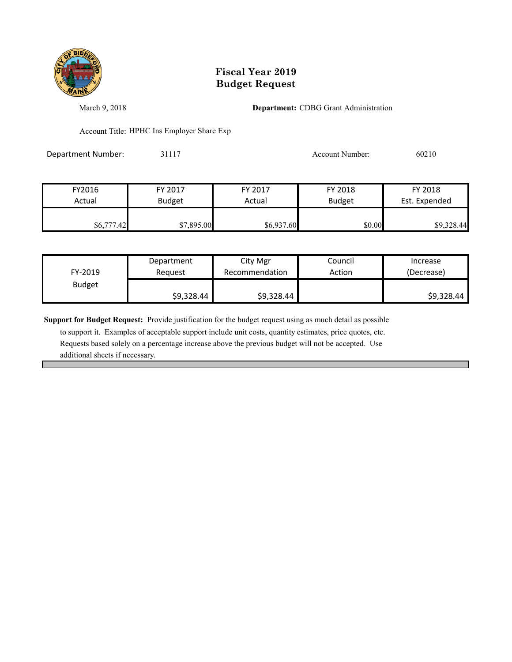

March 9, 2018 **Department:** CDBG Grant Administration

Account Title: HPHC Ins Employer Share Exp

Department Number: 31117 31117 Account Number: 60210

| FY2016     | FY 2017       | FY 2017    | FY 2018       | FY 2018       |
|------------|---------------|------------|---------------|---------------|
| Actual     | <b>Budget</b> | Actual     | <b>Budget</b> | Est. Expended |
|            |               |            |               |               |
| \$6,777.42 | \$7,895.00    | \$6,937.60 | \$0.00        | \$9,328.44    |

| FY-2019       | Department | City Mgr       | Council | Increase   |
|---------------|------------|----------------|---------|------------|
|               | Reauest    | Recommendation | Action  | (Decrease) |
| <b>Budget</b> | \$9,328.44 | \$9,328.44     |         | \$9,328.44 |

**Support for Budget Request:** Provide justification for the budget request using as much detail as possible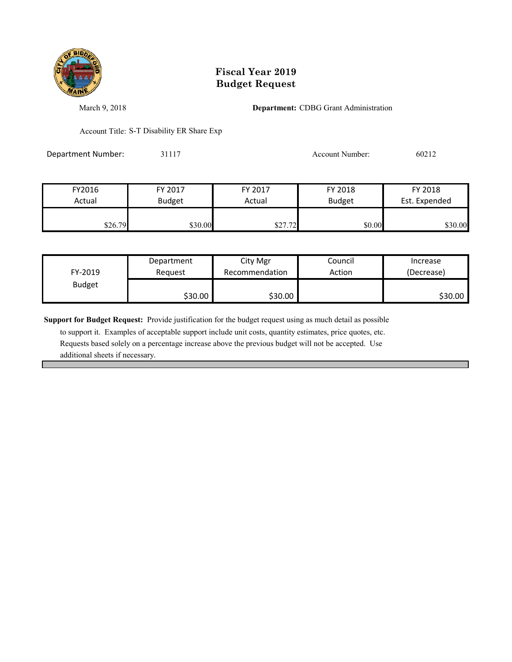

March 9, 2018 **Department:** CDBG Grant Administration

Account Title: S-T Disability ER Share Exp

Department Number: 31117 31117 Account Number: 60212

| FY2016  | FY 2017       | FY 2017 | FY 2018       | FY 2018       |
|---------|---------------|---------|---------------|---------------|
| Actual  | <b>Budget</b> | Actual  | <b>Budget</b> | Est. Expended |
|         |               |         |               |               |
| \$26.79 | \$30.00       | \$27.72 | \$0.00        | \$30.00       |

| FY-2019       | Department | City Mgr       | Council | Increase   |
|---------------|------------|----------------|---------|------------|
|               | Reauest    | Recommendation | Action  | (Decrease) |
| <b>Budget</b> | \$30.00    | \$30.00        |         | \$30.00    |

**Support for Budget Request:** Provide justification for the budget request using as much detail as possible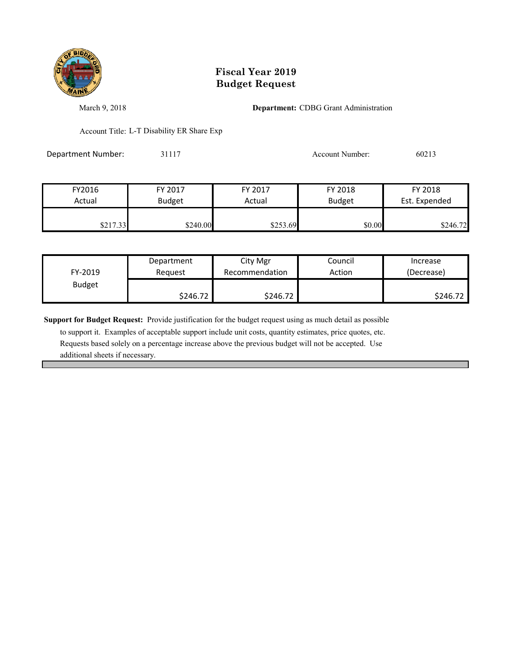

March 9, 2018 **Department:** CDBG Grant Administration

Account Title: L-T Disability ER Share Exp

Department Number: 31117 31117 Account Number: 60213

| FY2016   | FY 2017       | FY 2017  | FY 2018       | FY 2018       |
|----------|---------------|----------|---------------|---------------|
| Actual   | <b>Budget</b> | Actual   | <b>Budget</b> | Est. Expended |
| \$217.33 | \$240.00      | \$253.69 | \$0.00        | \$246.72      |

| FY-2019       | Department | City Mgr       | Council | Increase   |
|---------------|------------|----------------|---------|------------|
|               | Reauest    | Recommendation | Action  | (Decrease) |
| <b>Budget</b> | \$246.72   | \$246.72       |         | \$246.72   |

**Support for Budget Request:** Provide justification for the budget request using as much detail as possible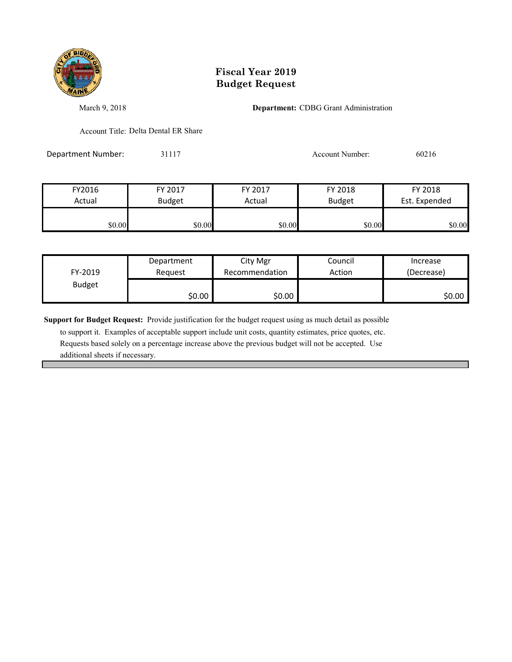

March 9, 2018 **Department:** CDBG Grant Administration

Account Title: Delta Dental ER Share

Department Number: 31117 Account Number: 60216

| FY2016 | FY 2017       | FY 2017 | FY 2018       | FY 2018       |
|--------|---------------|---------|---------------|---------------|
| Actual | <b>Budget</b> | Actual  | <b>Budget</b> | Est. Expended |
|        |               |         |               |               |
| \$0.00 | \$0.00        | \$0.00  | \$0.00        | \$0.00        |

|               | Department | City Mgr       | Council | Increase   |
|---------------|------------|----------------|---------|------------|
| FY-2019       | Reauest    | Recommendation | Action  | (Decrease) |
| <b>Budget</b> |            |                |         |            |
|               | \$0.00     | \$0.00         |         | \$0.00     |

**Support for Budget Request:** Provide justification for the budget request using as much detail as possible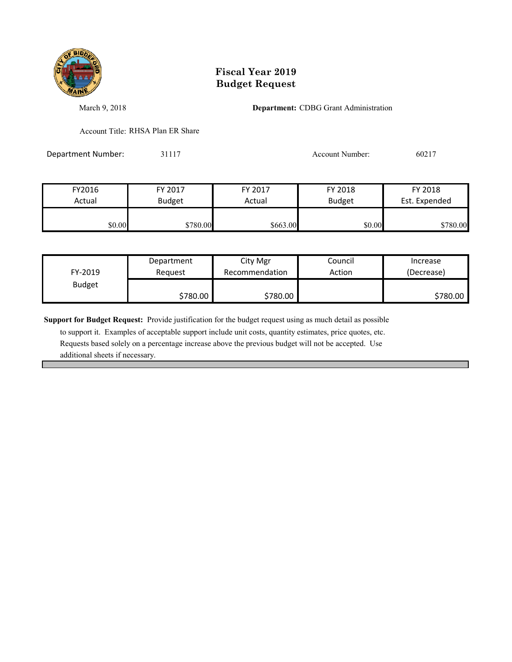

March 9, 2018 **Department:** CDBG Grant Administration

Account Title: RHSA Plan ER Share

Department Number: 31117 31117 Account Number: 60217

FY2016 FY 2017 FY 2017 FY 2018 FY 2018 Actual Budget | Actual Budget Est. Expended **\$780.00** \$780.00 \$780.00 \$663.00 \$0.00 \$0.00 \$780.00

| FY-2019       | Department | City Mgr       | Council | Increase   |
|---------------|------------|----------------|---------|------------|
|               | Reauest    | Recommendation | Action  | (Decrease) |
| <b>Budget</b> | \$780.00   | \$780.00       |         | \$780.00   |

**Support for Budget Request:** Provide justification for the budget request using as much detail as possible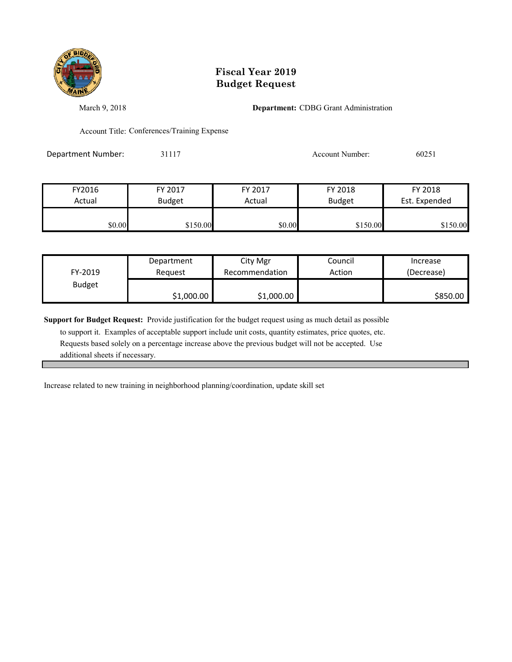

March 9, 2018 **Department:** CDBG Grant Administration

Account Title: Conferences/Training Expense

Department Number: 31117 31117 Account Number: 60251

| FY2016 | FY 2017       | FY 2017 | FY 2018       | FY 2018       |
|--------|---------------|---------|---------------|---------------|
| Actual | <b>Budget</b> | Actual  | <b>Budget</b> | Est. Expended |
|        |               |         |               |               |
| \$0.00 | \$150.00      | \$0.00  | \$150.00      | \$150.00      |

| FY-2019       | Department | City Mgr       | Council | Increase   |
|---------------|------------|----------------|---------|------------|
|               | Reauest    | Recommendation | Action  | (Decrease) |
| <b>Budget</b> | \$1,000.00 | \$1,000.00     |         | \$850.00   |

**Support for Budget Request:** Provide justification for the budget request using as much detail as possible

 to support it. Examples of acceptable support include unit costs, quantity estimates, price quotes, etc. Requests based solely on a percentage increase above the previous budget will not be accepted. Use additional sheets if necessary.

Increase related to new training in neighborhood planning/coordination, update skill set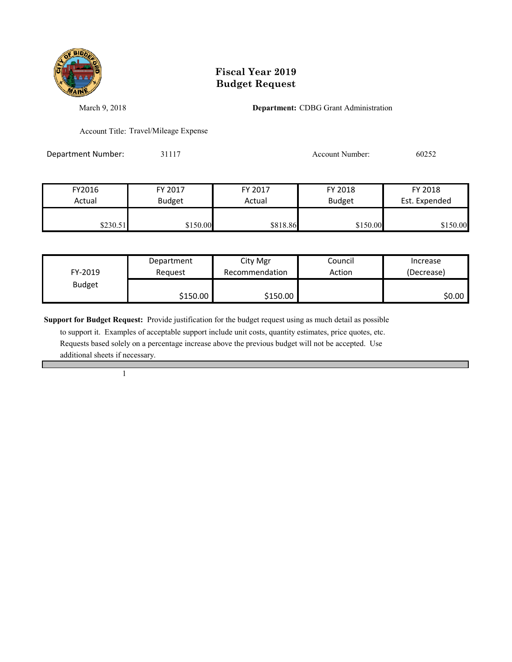

March 9, 2018 **Department:** CDBG Grant Administration

Account Title: Travel/Mileage Expense

Department Number: 31117 31117 Account Number: 60252

| FY2016   | FY 2017       | FY 2017  | FY 2018       | FY 2018       |
|----------|---------------|----------|---------------|---------------|
| Actual   | <b>Budget</b> | Actual   | <b>Budget</b> | Est. Expended |
| \$230.51 | \$150.00      | \$818.86 | \$150.00      | \$150.00      |

|               | Department | City Mgr       | Council | Increase   |
|---------------|------------|----------------|---------|------------|
| FY-2019       | Reauest    | Recommendation | Action  | (Decrease) |
| <b>Budget</b> |            |                |         |            |
|               | \$150.00   | \$150.00       |         | \$0.00     |

**Support for Budget Request:** Provide justification for the budget request using as much detail as possible

 to support it. Examples of acceptable support include unit costs, quantity estimates, price quotes, etc. Requests based solely on a percentage increase above the previous budget will not be accepted. Use additional sheets if necessary.

1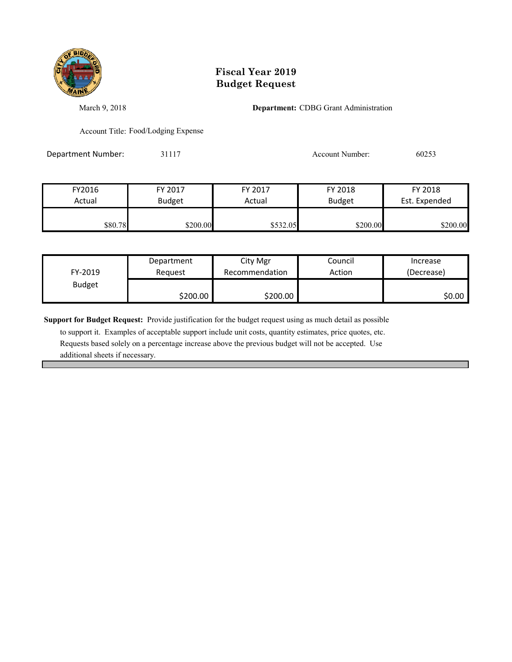

March 9, 2018 **Department:** CDBG Grant Administration

Account Title: Food/Lodging Expense

Department Number: 31117 31117 Account Number: 60253

| FY2016  | FY 2017       | FY 2017  | FY 2018       | FY 2018       |
|---------|---------------|----------|---------------|---------------|
| Actual  | <b>Budget</b> | Actual   | <b>Budget</b> | Est. Expended |
|         |               |          |               |               |
| \$80.78 | \$200.00      | \$532.05 | \$200.00      | \$200.00      |

| FY-2019       | Department | City Mgr       | Council | Increase   |
|---------------|------------|----------------|---------|------------|
|               | Reauest    | Recommendation | Action  | (Decrease) |
| <b>Budget</b> | \$200.00   | \$200.00       |         | \$0.00     |

**Support for Budget Request:** Provide justification for the budget request using as much detail as possible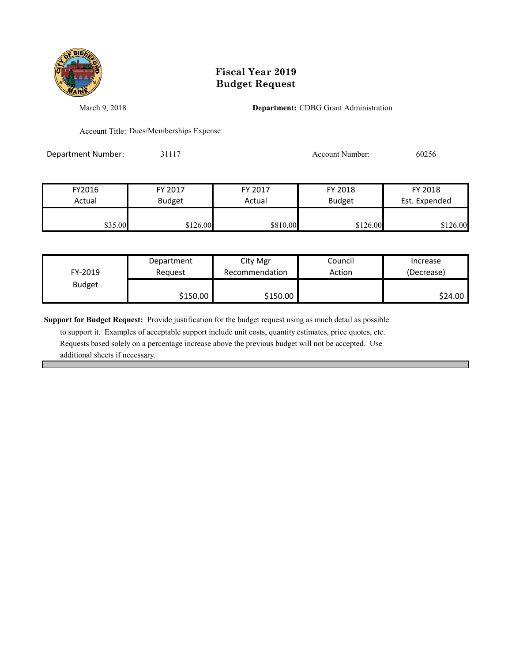

March 9, 2018 **Department:** CDBG Grant Administration

Account Title: Dues/Memberships Expense

Department Number: 31117 31117 Account Number: 60256

| FY2016  | FY 2017       | FY 2017  | FY 2018       | FY 2018       |
|---------|---------------|----------|---------------|---------------|
| Actual  | <b>Budget</b> | Actual   | <b>Budget</b> | Est. Expended |
|         |               |          |               |               |
| \$35.00 | \$126.00      | \$810.00 | \$126.00      | \$126.00      |

| FY-2019       | Department | City Mgr       | Council | Increase   |
|---------------|------------|----------------|---------|------------|
|               | Reauest    | Recommendation | Action  | (Decrease) |
| <b>Budget</b> | \$150.00   | \$150.00       |         | \$24.00    |

**Support for Budget Request:** Provide justification for the budget request using as much detail as possible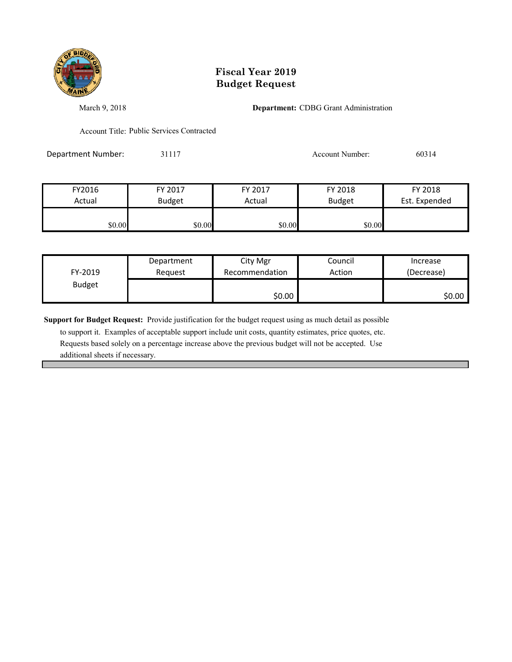

March 9, 2018 **Department:** CDBG Grant Administration

Account Title: Public Services Contracted

Department Number: 31117 31117 Account Number: 60314

| FY2016 | FY 2017       | FY 2017 | FY 2018       | FY 2018       |
|--------|---------------|---------|---------------|---------------|
| Actual | <b>Budget</b> | Actual  | <b>Budget</b> | Est. Expended |
|        |               |         |               |               |
| \$0.00 | \$0.00        | \$0.00  | \$0.00        |               |

| FY-2019       | Department | City Mgr       | Council | Increase   |
|---------------|------------|----------------|---------|------------|
|               | Reauest    | Recommendation | Action  | (Decrease) |
| <b>Budget</b> |            | \$0.00         |         | \$0.00     |

**Support for Budget Request:** Provide justification for the budget request using as much detail as possible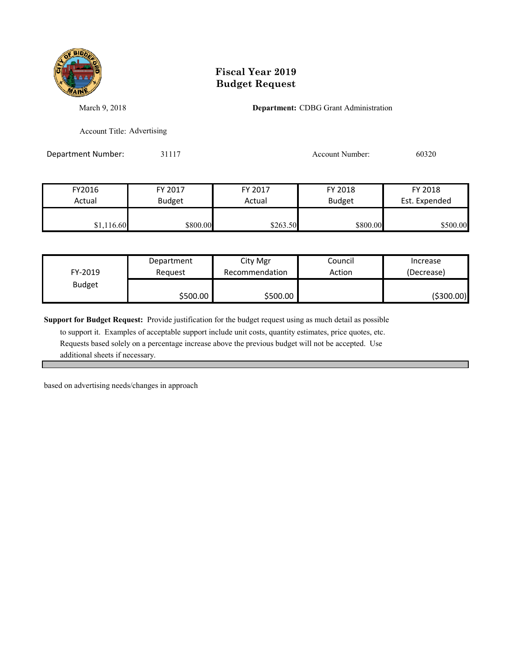

March 9, 2018 **Department:** CDBG Grant Administration

Account Title: Advertising

Department Number: 31117 31117 Account Number: 60320

| FY2016     | FY 2017  | FY 2017  | FY 2018       | FY 2018       |
|------------|----------|----------|---------------|---------------|
| Actual     | Budget   | Actual   | <b>Budget</b> | Est. Expended |
| \$1,116.60 | \$800.00 | \$263.50 | \$800.00      | \$500.00      |

| FY-2019       | Department | City Mgr       | Council | Increase   |
|---------------|------------|----------------|---------|------------|
|               | Reauest    | Recommendation | Action  | (Decrease) |
| <b>Budget</b> | \$500.00   | \$500.00       |         | (\$300.00) |

**Support for Budget Request:** Provide justification for the budget request using as much detail as possible

 to support it. Examples of acceptable support include unit costs, quantity estimates, price quotes, etc. Requests based solely on a percentage increase above the previous budget will not be accepted. Use additional sheets if necessary.

based on advertising needs/changes in approach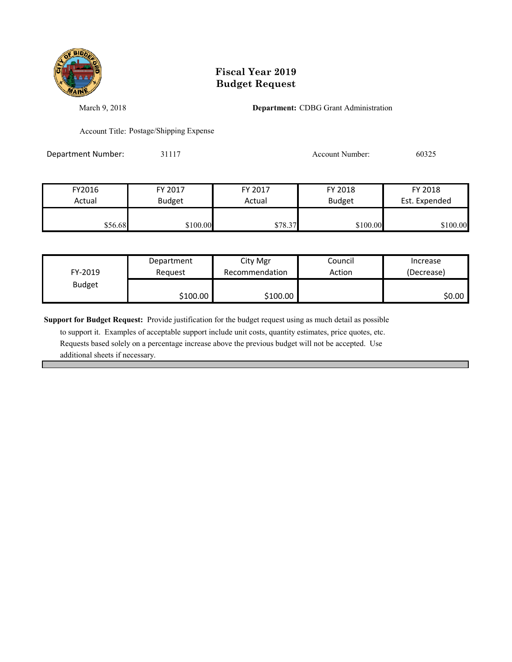

March 9, 2018 **Department:** CDBG Grant Administration

Account Title: Postage/Shipping Expense

Department Number: 31117 31117 Account Number: 60325

| FY2016  | FY 2017       | FY 2017 | FY 2018       | FY 2018       |
|---------|---------------|---------|---------------|---------------|
| Actual  | <b>Budget</b> | Actual  | <b>Budget</b> | Est. Expended |
|         |               |         |               |               |
| \$56.68 | \$100.00      | \$78.37 | \$100.00      | \$100.00      |

| FY-2019       | Department | City Mgr       | Council | Increase   |
|---------------|------------|----------------|---------|------------|
|               | Reauest    | Recommendation | Action  | (Decrease) |
| <b>Budget</b> | \$100.00   | \$100.00       |         | \$0.00∣    |

**Support for Budget Request:** Provide justification for the budget request using as much detail as possible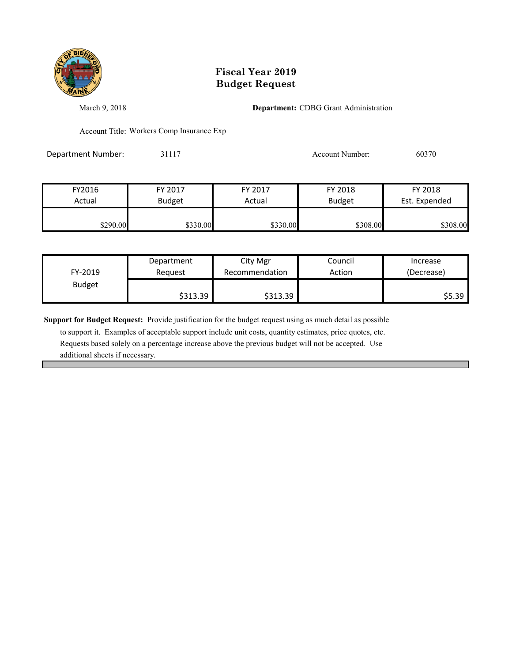

March 9, 2018 **Department:** CDBG Grant Administration

Account Title: Workers Comp Insurance Exp

Department Number: 31117 31117 Account Number: 60370

| FY2016   | FY 2017       | FY 2017  | FY 2018       | FY 2018       |
|----------|---------------|----------|---------------|---------------|
| Actual   | <b>Budget</b> | Actual   | <b>Budget</b> | Est. Expended |
|          |               |          |               |               |
| \$290.00 | \$330.00      | \$330.00 | \$308.00      | \$308.00      |

| FY-2019       | Department | City Mgr       | Council | Increase   |
|---------------|------------|----------------|---------|------------|
|               | Reauest    | Recommendation | Action  | (Decrease) |
| <b>Budget</b> | \$313.39   | \$313.39       |         | \$5.39     |

**Support for Budget Request:** Provide justification for the budget request using as much detail as possible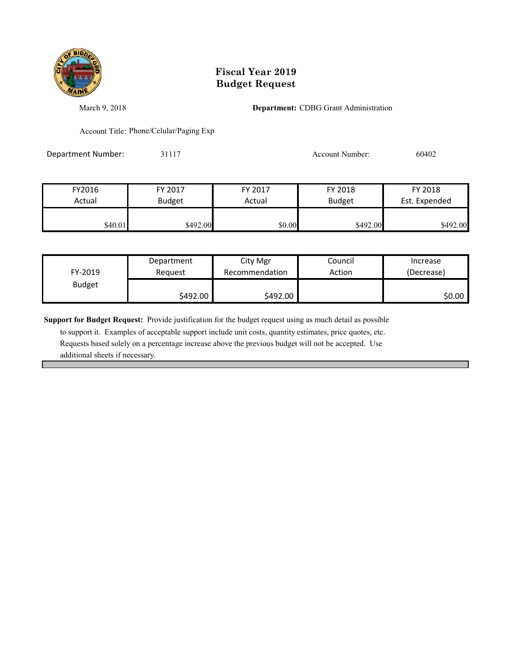

March 9, 2018 **Department:** CDBG Grant Administration

Account Title: Phone/Celular/Paging Exp

Department Number: 31117 31117 Account Number: 60402

| FY2016  | FY 2017       | FY 2017 | FY 2018       | FY 2018       |
|---------|---------------|---------|---------------|---------------|
| Actual  | <b>Budget</b> | Actual  | <b>Budget</b> | Est. Expended |
|         |               |         |               |               |
| \$40.01 | \$492.00      | \$0.00  | \$492.00      | \$492.00      |

| FY-2019       | Department | City Mgr       | Council | Increase   |
|---------------|------------|----------------|---------|------------|
|               | Reauest    | Recommendation | Action  | (Decrease) |
| <b>Budget</b> | \$492.00   | \$492.00       |         | \$0.00     |

**Support for Budget Request:** Provide justification for the budget request using as much detail as possible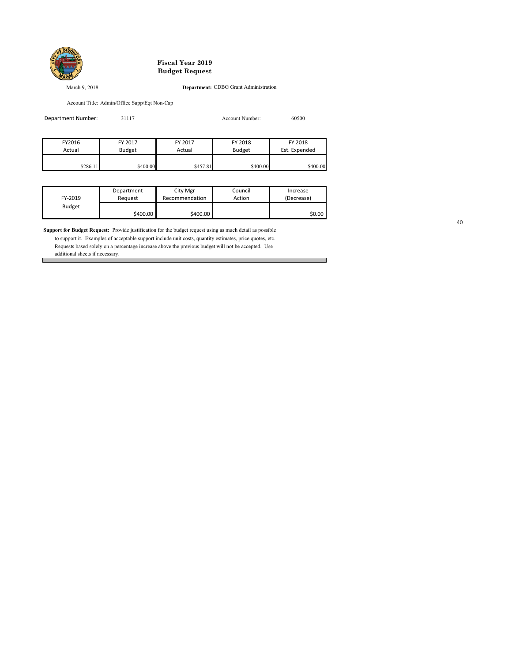

#### March 9, 2018 **Department:** CDBG Grant Administration

 $\Box$ 

Account Title: Admin/Office Supp/Eqt Non-Cap

| Department Number: | 31117         |          | Account Number: | 60500         |
|--------------------|---------------|----------|-----------------|---------------|
|                    |               |          |                 |               |
| FY2016             | FY 2017       | FY 2017  | FY 2018         | FY 2018       |
| Actual             | <b>Budget</b> | Actual   | <b>Budget</b>   | Est. Expended |
|                    |               |          |                 |               |
| \$286.11           | \$400.00      | \$457.81 | \$400.00        | \$400.00      |

|               | Department | City Mgr       | Council | Increase   |
|---------------|------------|----------------|---------|------------|
| FY-2019       | Reauest    | Recommendation | Action  | (Decrease) |
| <b>Budget</b> |            |                |         |            |
|               | \$400.00   | \$400.00       |         | \$0.00     |

**Support for Budget Request:** Provide justification for the budget request using as much detail as possible

 to support it. Examples of acceptable support include unit costs, quantity estimates, price quotes, etc. Requests based solely on a percentage increase above the previous budget will not be accepted. Use additional sheets if necessary.

40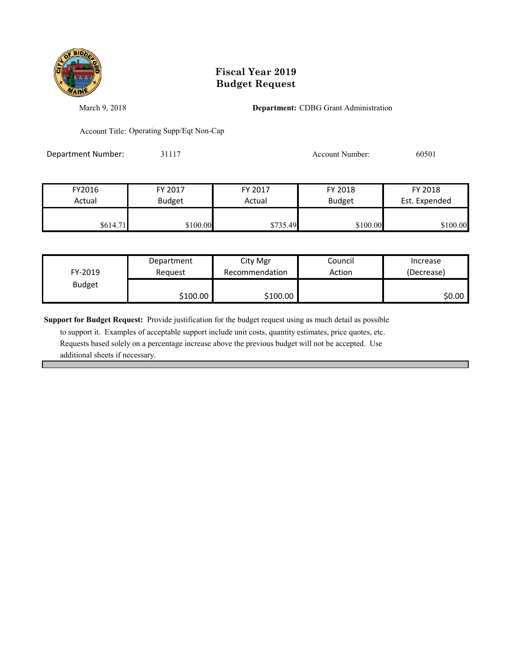

March 9, 2018 **Department:** CDBG Grant Administration

Account Title: Operating Supp/Eqt Non-Cap

Department Number: 31117 31117 Account Number: 60501

| FY2016   | FY 2017       | FY 2017  | FY 2018       | FY 2018       |
|----------|---------------|----------|---------------|---------------|
| Actual   | <b>Budget</b> | Actual   | <b>Budget</b> | Est. Expended |
|          |               |          |               |               |
| \$614.71 | \$100.00      | \$735.49 | \$100.00      | \$100.00      |

| FY-2019       | Department | City Mgr       | Council | Increase   |
|---------------|------------|----------------|---------|------------|
|               | Reauest    | Recommendation | Action  | (Decrease) |
| <b>Budget</b> | \$100.00   | \$100.00       |         | \$0.00     |

**Support for Budget Request:** Provide justification for the budget request using as much detail as possible